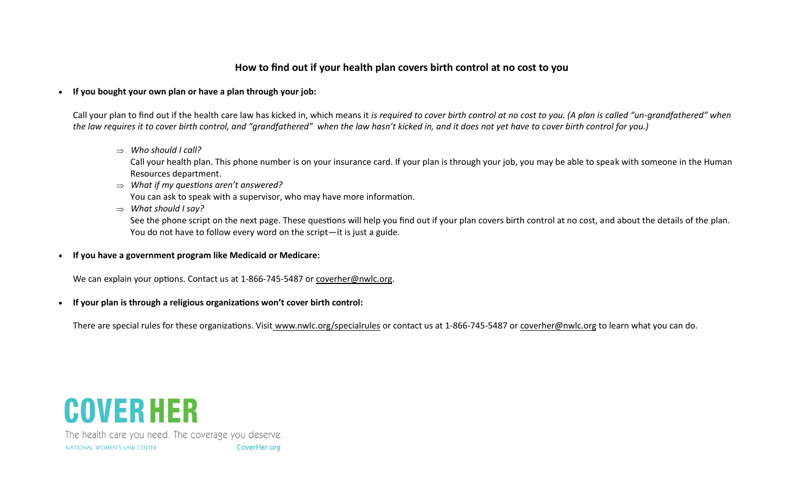## **How to find out if your health plan covers birth control at no cost to you**

**If you bought your own plan or have a plan through your job:**

Call your plan to find out if the health care law has kicked in, which means it *is required to cover birth control at no cost to you. (A plan is called "un-grandfathered" when the law requires it to cover birth control, and "grandfathered" when the law hasn't kicked in, and it does not yet have to cover birth control for you.)*

*Who should I call?* 

Call your health plan. This phone number is on your insurance card. If your plan is through your job, you may be able to speak with someone in the Human Resources department.

- *What if my questions aren't answered?* You can ask to speak with a supervisor, who may have more information.
- *What should I say?*

See the phone script on the next page. These questions will help you find out if your plan covers birth control at no cost, and about the details of the plan. You do not have to follow every word on the script—it is just a guide.

**If you have a government program like Medicaid or Medicare:**

We can explain your options. Contact us at 1-866-745-5487 or coverher@nwlc.org.

**If your plan is through a religious organizations won't cover birth control:**

There are special rules for these organizations. Visit [www.nwlc.org/specialrules](http://www.nwlc.org/specialrules) or contact us at 1-866-745-5487 or [coverher@nwlc.org](mailto:coverher@nwlc.org) to learn what you can do.



The health care you need. The coverage you deserve. NATIONAL WOMEN'S LAW CENTER CoverHer.org